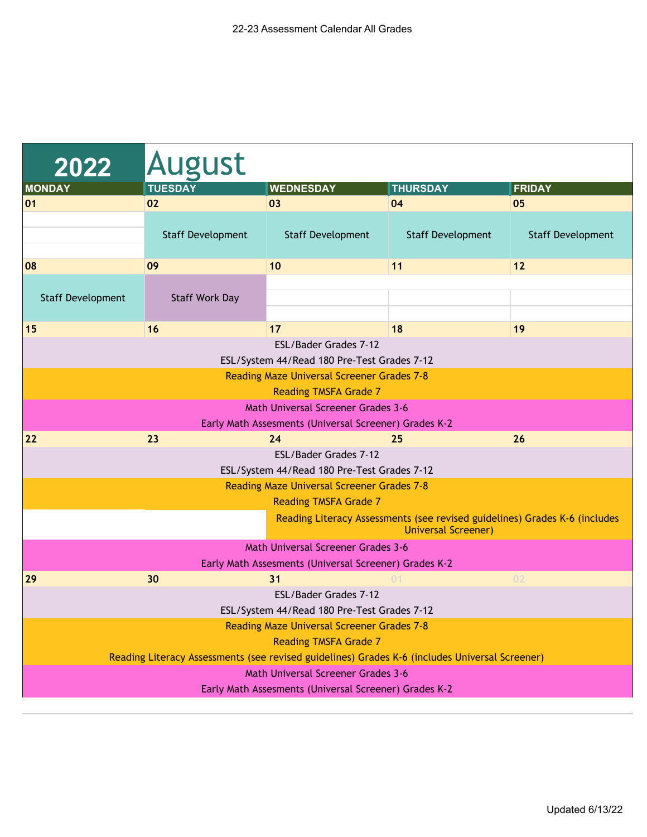| 2022                     | <b>August</b>                                                                                  |                                                                      |                                                                                                          |                          |
|--------------------------|------------------------------------------------------------------------------------------------|----------------------------------------------------------------------|----------------------------------------------------------------------------------------------------------|--------------------------|
| <b>MONDAY</b>            | <b>TUESDAY</b>                                                                                 | <b>WEDNESDAY</b>                                                     | <b>THURSDAY</b>                                                                                          | <b>FRIDAY</b>            |
| 01                       | 02                                                                                             | 03                                                                   | 04                                                                                                       | 05                       |
|                          | <b>Staff Development</b>                                                                       | <b>Staff Development</b>                                             | <b>Staff Development</b>                                                                                 | <b>Staff Development</b> |
| 08                       | 09                                                                                             | 10                                                                   | 11                                                                                                       | 12                       |
| <b>Staff Development</b> | <b>Staff Work Day</b>                                                                          |                                                                      |                                                                                                          |                          |
| 15                       | 16                                                                                             | 17                                                                   | 18                                                                                                       | 19                       |
|                          |                                                                                                | ESL/Bader Grades 7-12<br>ESL/System 44/Read 180 Pre-Test Grades 7-12 |                                                                                                          |                          |
|                          |                                                                                                | <b>Reading Maze Universal Screener Grades 7-8</b>                    |                                                                                                          |                          |
|                          |                                                                                                | <b>Reading TMSFA Grade 7</b>                                         |                                                                                                          |                          |
|                          |                                                                                                | <b>Math Universal Screener Grades 3-6</b>                            |                                                                                                          |                          |
|                          |                                                                                                | Early Math Assesments (Universal Screener) Grades K-2                |                                                                                                          |                          |
| 22                       | 23                                                                                             | 24                                                                   | 25                                                                                                       | 26                       |
|                          |                                                                                                | ESL/Bader Grades 7-12                                                |                                                                                                          |                          |
|                          |                                                                                                | ESL/System 44/Read 180 Pre-Test Grades 7-12                          |                                                                                                          |                          |
|                          |                                                                                                | <b>Reading Maze Universal Screener Grades 7-8</b>                    |                                                                                                          |                          |
|                          |                                                                                                | <b>Reading TMSFA Grade 7</b>                                         |                                                                                                          |                          |
|                          |                                                                                                |                                                                      | Reading Literacy Assessments (see revised guidelines) Grades K-6 (includes<br><b>Universal Screener)</b> |                          |
|                          |                                                                                                | <b>Math Universal Screener Grades 3-6</b>                            |                                                                                                          |                          |
|                          |                                                                                                | Early Math Assesments (Universal Screener) Grades K-2                |                                                                                                          |                          |
| 29                       | 30                                                                                             | 31                                                                   |                                                                                                          | 02                       |
|                          |                                                                                                | ESL/Bader Grades 7-12                                                |                                                                                                          |                          |
|                          |                                                                                                | ESL/System 44/Read 180 Pre-Test Grades 7-12                          |                                                                                                          |                          |
|                          |                                                                                                | <b>Reading Maze Universal Screener Grades 7-8</b>                    |                                                                                                          |                          |
|                          |                                                                                                | <b>Reading TMSFA Grade 7</b>                                         |                                                                                                          |                          |
|                          | Reading Literacy Assessments (see revised guidelines) Grades K-6 (includes Universal Screener) |                                                                      |                                                                                                          |                          |
|                          |                                                                                                | <b>Math Universal Screener Grades 3-6</b>                            |                                                                                                          |                          |
|                          |                                                                                                | Early Math Assesments (Universal Screener) Grades K-2                |                                                                                                          |                          |
|                          |                                                                                                |                                                                      |                                                                                                          |                          |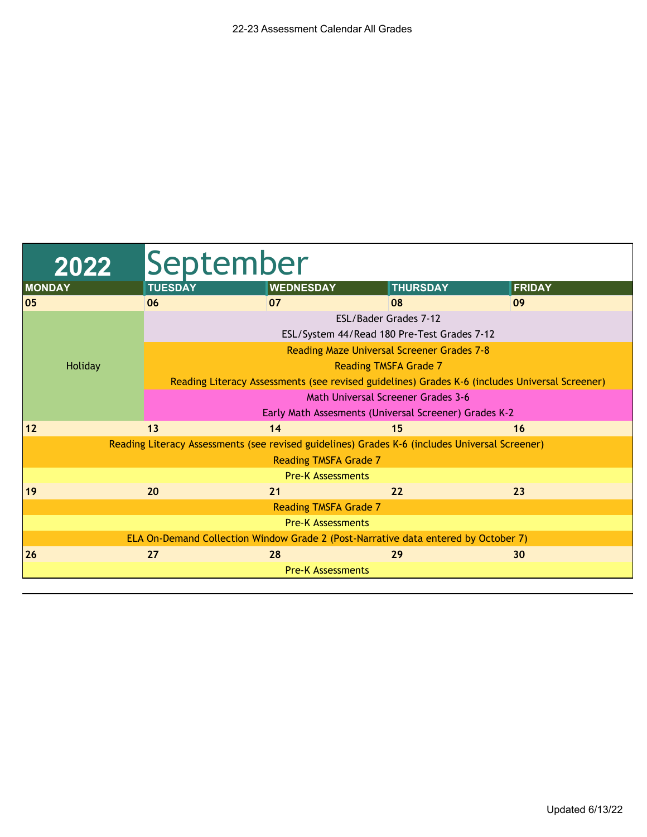| 2022          | September                                                                                      |                                                                                                |                                                   |               |  |  |
|---------------|------------------------------------------------------------------------------------------------|------------------------------------------------------------------------------------------------|---------------------------------------------------|---------------|--|--|
| <b>MONDAY</b> | <b>TUESDAY</b>                                                                                 | <b>WEDNESDAY</b>                                                                               | <b>THURSDAY</b>                                   | <b>FRIDAY</b> |  |  |
| 05            | 06                                                                                             | 07                                                                                             | 08                                                | 09            |  |  |
|               |                                                                                                |                                                                                                | ESL/Bader Grades 7-12                             |               |  |  |
|               |                                                                                                |                                                                                                | ESL/System 44/Read 180 Pre-Test Grades 7-12       |               |  |  |
|               |                                                                                                |                                                                                                | <b>Reading Maze Universal Screener Grades 7-8</b> |               |  |  |
| Holiday       |                                                                                                |                                                                                                | <b>Reading TMSFA Grade 7</b>                      |               |  |  |
|               | Reading Literacy Assessments (see revised guidelines) Grades K-6 (includes Universal Screener) |                                                                                                |                                                   |               |  |  |
|               | <b>Math Universal Screener Grades 3-6</b>                                                      |                                                                                                |                                                   |               |  |  |
|               |                                                                                                | Early Math Assesments (Universal Screener) Grades K-2                                          |                                                   |               |  |  |
| 12            | 13                                                                                             | 14                                                                                             | 15                                                | 16            |  |  |
|               |                                                                                                | Reading Literacy Assessments (see revised guidelines) Grades K-6 (includes Universal Screener) |                                                   |               |  |  |
|               |                                                                                                | <b>Reading TMSFA Grade 7</b>                                                                   |                                                   |               |  |  |
|               |                                                                                                | <b>Pre-K Assessments</b>                                                                       |                                                   |               |  |  |
| 19            | 20                                                                                             | 21                                                                                             | 22                                                | 23            |  |  |
|               |                                                                                                | Reading TMSFA Grade 7                                                                          |                                                   |               |  |  |
|               | <b>Pre-K Assessments</b>                                                                       |                                                                                                |                                                   |               |  |  |
|               |                                                                                                | ELA On-Demand Collection Window Grade 2 (Post-Narrative data entered by October 7)             |                                                   |               |  |  |
| 26            | 27                                                                                             | 28                                                                                             | 29                                                | 30            |  |  |
|               |                                                                                                | <b>Pre-K Assessments</b>                                                                       |                                                   |               |  |  |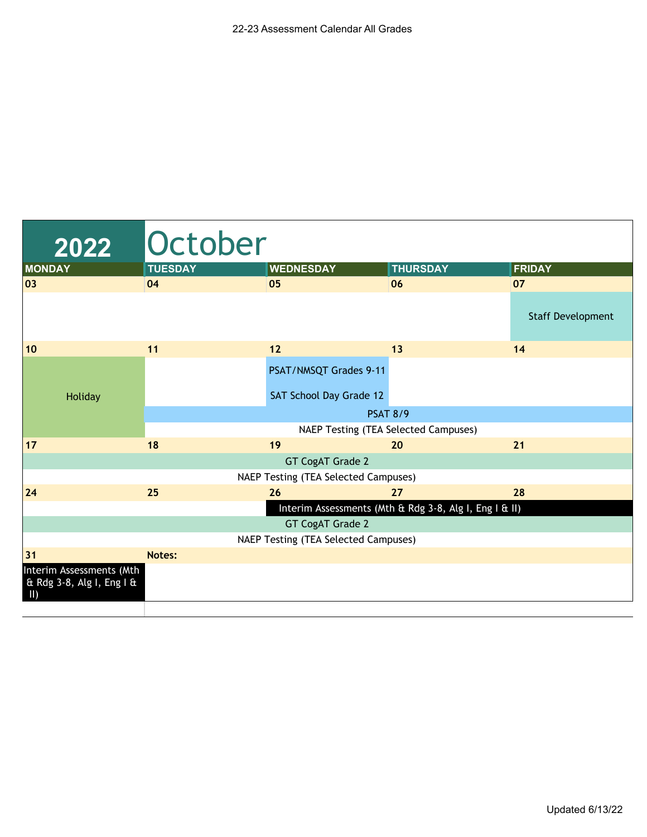| 2022                                                                 | October                              |                                      |                                                        |                          |  |  |
|----------------------------------------------------------------------|--------------------------------------|--------------------------------------|--------------------------------------------------------|--------------------------|--|--|
| <b>MONDAY</b>                                                        | <b>TUESDAY</b>                       | <b>WEDNESDAY</b>                     | <b>THURSDAY</b>                                        | <b>FRIDAY</b>            |  |  |
| 03                                                                   | 04                                   | 05                                   | 06                                                     | 07                       |  |  |
|                                                                      |                                      |                                      |                                                        | <b>Staff Development</b> |  |  |
| 10                                                                   | 11                                   | 12                                   | 13                                                     | 14                       |  |  |
|                                                                      |                                      | PSAT/NMSQT Grades 9-11               |                                                        |                          |  |  |
| Holiday                                                              |                                      | SAT School Day Grade 12              |                                                        |                          |  |  |
|                                                                      |                                      |                                      | <b>PSAT 8/9</b>                                        |                          |  |  |
|                                                                      |                                      |                                      | NAEP Testing (TEA Selected Campuses)                   |                          |  |  |
| 17                                                                   | 18                                   | 19                                   | 20                                                     | 21                       |  |  |
|                                                                      |                                      | GT CogAT Grade 2                     |                                                        |                          |  |  |
|                                                                      |                                      | NAEP Testing (TEA Selected Campuses) |                                                        |                          |  |  |
| 24                                                                   | 25                                   | 26                                   | 27                                                     | 28                       |  |  |
|                                                                      |                                      |                                      | Interim Assessments (Mth & Rdg 3-8, Alg I, Eng I & II) |                          |  |  |
|                                                                      |                                      | <b>GT CogAT Grade 2</b>              |                                                        |                          |  |  |
|                                                                      | NAEP Testing (TEA Selected Campuses) |                                      |                                                        |                          |  |  |
| 31                                                                   | Notes:                               |                                      |                                                        |                          |  |  |
| Interim Assessments (Mth<br>& Rdg 3-8, Alg I, Eng I &<br>$\parallel$ |                                      |                                      |                                                        |                          |  |  |
|                                                                      |                                      |                                      |                                                        |                          |  |  |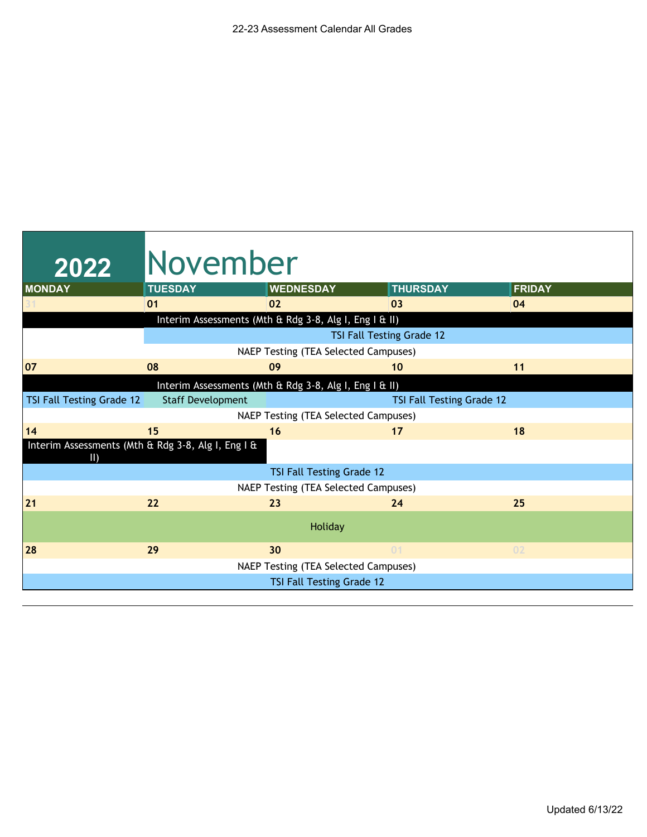| 2022                      | <b>November</b>                                    |                                                        |                           |               |
|---------------------------|----------------------------------------------------|--------------------------------------------------------|---------------------------|---------------|
| <b>MONDAY</b>             | <b>TUESDAY</b>                                     | <b>WEDNESDAY</b>                                       | <b>THURSDAY</b>           | <b>FRIDAY</b> |
|                           | 01                                                 | 02                                                     | 03                        | 04            |
|                           |                                                    | Interim Assessments (Mth & Rdg 3-8, Alg I, Eng I & II) |                           |               |
|                           |                                                    |                                                        | TSI Fall Testing Grade 12 |               |
|                           |                                                    | NAEP Testing (TEA Selected Campuses)                   |                           |               |
| 07                        | 08                                                 | 09                                                     | 10                        | 11            |
|                           |                                                    | Interim Assessments (Mth & Rdg 3-8, Alg I, Eng I & II) |                           |               |
| TSI Fall Testing Grade 12 | <b>Staff Development</b>                           |                                                        | TSI Fall Testing Grade 12 |               |
|                           |                                                    | NAEP Testing (TEA Selected Campuses)                   |                           |               |
| 14                        | 15                                                 | 16                                                     | 17                        | 18            |
| $\parallel$               | Interim Assessments (Mth & Rdg 3-8, Alg I, Eng I & |                                                        |                           |               |
|                           |                                                    | TSI Fall Testing Grade 12                              |                           |               |
|                           |                                                    | NAEP Testing (TEA Selected Campuses)                   |                           |               |
| 21                        | 22                                                 | 23                                                     | 24                        | 25            |
|                           |                                                    | Holiday                                                |                           |               |
| 28                        | 29                                                 | 30                                                     | 01                        | 02            |
|                           |                                                    | NAEP Testing (TEA Selected Campuses)                   |                           |               |
|                           |                                                    | TSI Fall Testing Grade 12                              |                           |               |
|                           |                                                    |                                                        |                           |               |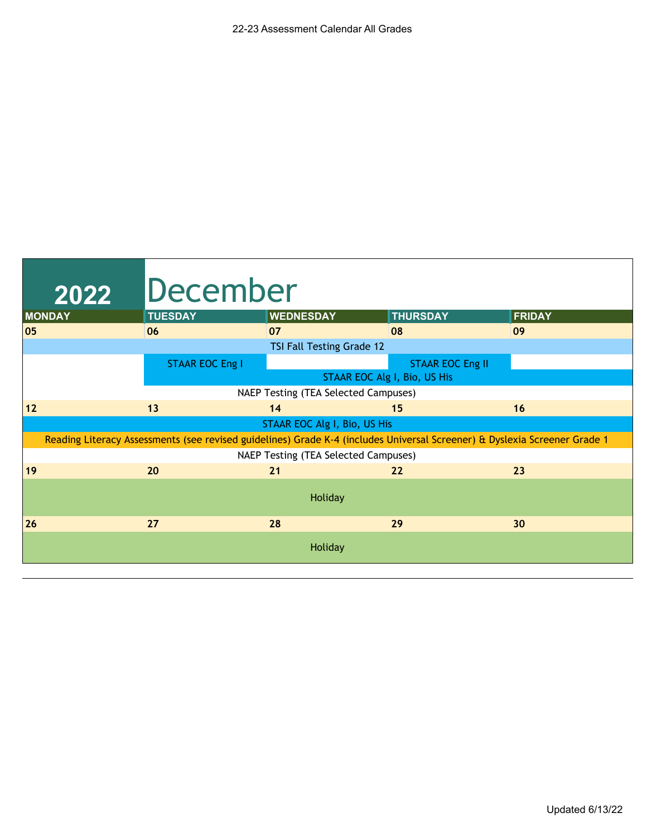| 2022          | <b>December</b>        |                                                                                                                           |                              |               |
|---------------|------------------------|---------------------------------------------------------------------------------------------------------------------------|------------------------------|---------------|
| <b>MONDAY</b> | <b>TUESDAY</b>         | <b>WEDNESDAY</b>                                                                                                          | <b>THURSDAY</b>              | <b>FRIDAY</b> |
| 05            | 06                     | 07                                                                                                                        | 08                           | 09            |
|               |                        | TSI Fall Testing Grade 12                                                                                                 |                              |               |
|               | <b>STAAR EOC Eng I</b> |                                                                                                                           | <b>STAAR EOC Eng II</b>      |               |
|               |                        |                                                                                                                           | STAAR EOC Alg I, Bio, US His |               |
|               |                        | NAEP Testing (TEA Selected Campuses)                                                                                      |                              |               |
| $12$          | 13                     | 14                                                                                                                        | 15                           | 16            |
|               |                        | STAAR EOC Alg I, Bio, US His                                                                                              |                              |               |
|               |                        | Reading Literacy Assessments (see revised guidelines) Grade K-4 (includes Universal Screener) & Dyslexia Screener Grade 1 |                              |               |
|               |                        | NAEP Testing (TEA Selected Campuses)                                                                                      |                              |               |
| 19            | 20                     | 21                                                                                                                        | 22                           | 23            |
|               |                        | Holiday                                                                                                                   |                              |               |
| 26            | 27                     | 28                                                                                                                        | 29                           | 30            |
|               |                        | Holiday                                                                                                                   |                              |               |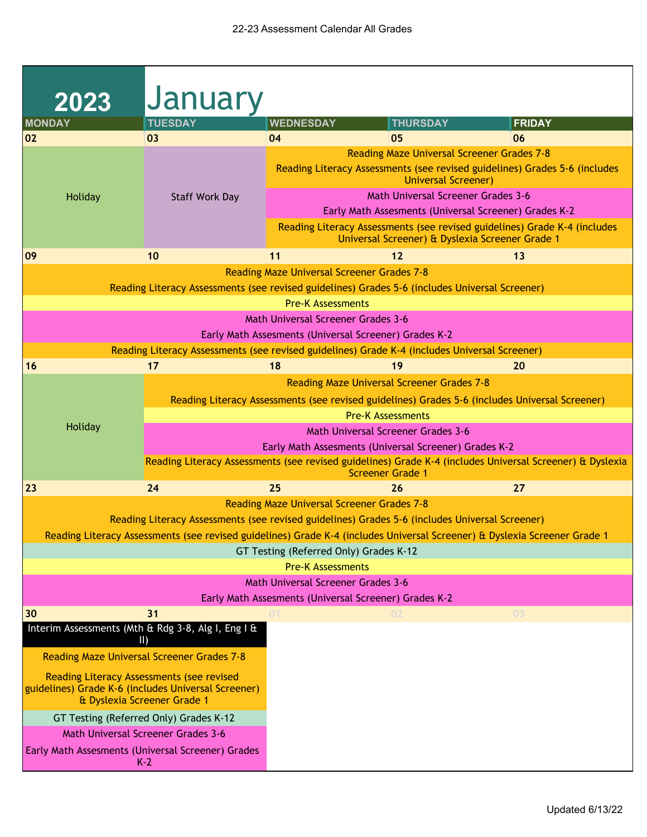| 2023                                                                                                                            | <b>January</b>                                                                                           |                                                       |                                                                                 |                                                                                                                           |  |  |
|---------------------------------------------------------------------------------------------------------------------------------|----------------------------------------------------------------------------------------------------------|-------------------------------------------------------|---------------------------------------------------------------------------------|---------------------------------------------------------------------------------------------------------------------------|--|--|
| <b>MONDAY</b>                                                                                                                   | <b>TUESDAY</b>                                                                                           | <b>WEDNESDAY</b>                                      | <b>THURSDAY</b>                                                                 | <b>FRIDAY</b>                                                                                                             |  |  |
| 02                                                                                                                              | 03                                                                                                       | 04                                                    | 05                                                                              | 06                                                                                                                        |  |  |
|                                                                                                                                 |                                                                                                          |                                                       | <b>Reading Maze Universal Screener Grades 7-8</b><br><b>Universal Screener)</b> | Reading Literacy Assessments (see revised guidelines) Grades 5-6 (includes                                                |  |  |
| Holiday                                                                                                                         | <b>Staff Work Day</b>                                                                                    | <b>Math Universal Screener Grades 3-6</b>             |                                                                                 |                                                                                                                           |  |  |
|                                                                                                                                 |                                                                                                          | Early Math Assesments (Universal Screener) Grades K-2 |                                                                                 |                                                                                                                           |  |  |
|                                                                                                                                 |                                                                                                          |                                                       | Universal Screener) & Dyslexia Screener Grade 1                                 | Reading Literacy Assessments (see revised guidelines) Grade K-4 (includes                                                 |  |  |
| 09                                                                                                                              | 10                                                                                                       | 11                                                    | 12                                                                              | 13                                                                                                                        |  |  |
|                                                                                                                                 |                                                                                                          | <b>Reading Maze Universal Screener Grades 7-8</b>     |                                                                                 |                                                                                                                           |  |  |
|                                                                                                                                 | Reading Literacy Assessments (see revised guidelines) Grades 5-6 (includes Universal Screener)           |                                                       |                                                                                 |                                                                                                                           |  |  |
|                                                                                                                                 |                                                                                                          | <b>Pre-K Assessments</b>                              |                                                                                 |                                                                                                                           |  |  |
|                                                                                                                                 |                                                                                                          | <b>Math Universal Screener Grades 3-6</b>             |                                                                                 |                                                                                                                           |  |  |
|                                                                                                                                 |                                                                                                          | Early Math Assesments (Universal Screener) Grades K-2 |                                                                                 |                                                                                                                           |  |  |
|                                                                                                                                 | Reading Literacy Assessments (see revised guidelines) Grade K-4 (includes Universal Screener)            |                                                       |                                                                                 |                                                                                                                           |  |  |
| 16                                                                                                                              | 17                                                                                                       | 18                                                    | 19                                                                              | 20                                                                                                                        |  |  |
|                                                                                                                                 | <b>Reading Maze Universal Screener Grades 7-8</b>                                                        |                                                       |                                                                                 |                                                                                                                           |  |  |
|                                                                                                                                 | Reading Literacy Assessments (see revised guidelines) Grades 5-6 (includes Universal Screener)           |                                                       |                                                                                 |                                                                                                                           |  |  |
| Holiday                                                                                                                         | <b>Pre-K Assessments</b><br><b>Math Universal Screener Grades 3-6</b>                                    |                                                       |                                                                                 |                                                                                                                           |  |  |
|                                                                                                                                 | Early Math Assesments (Universal Screener) Grades K-2                                                    |                                                       |                                                                                 |                                                                                                                           |  |  |
|                                                                                                                                 | Reading Literacy Assessments (see revised guidelines) Grade K-4 (includes Universal Screener) & Dyslexia |                                                       |                                                                                 |                                                                                                                           |  |  |
|                                                                                                                                 |                                                                                                          |                                                       | <b>Screener Grade 1</b>                                                         |                                                                                                                           |  |  |
| 23                                                                                                                              | 24                                                                                                       | 25                                                    | 26                                                                              | 27                                                                                                                        |  |  |
|                                                                                                                                 |                                                                                                          | <b>Reading Maze Universal Screener Grades 7-8</b>     |                                                                                 |                                                                                                                           |  |  |
|                                                                                                                                 | Reading Literacy Assessments (see revised guidelines) Grades 5-6 (includes Universal Screener)           |                                                       |                                                                                 | Reading Literacy Assessments (see revised guidelines) Grade K-4 (includes Universal Screener) & Dyslexia Screener Grade 1 |  |  |
|                                                                                                                                 |                                                                                                          | GT Testing (Referred Only) Grades K-12                |                                                                                 |                                                                                                                           |  |  |
|                                                                                                                                 |                                                                                                          | <b>Pre-K Assessments</b>                              |                                                                                 |                                                                                                                           |  |  |
|                                                                                                                                 |                                                                                                          | <b>Math Universal Screener Grades 3-6</b>             |                                                                                 |                                                                                                                           |  |  |
|                                                                                                                                 |                                                                                                          | Early Math Assesments (Universal Screener) Grades K-2 |                                                                                 |                                                                                                                           |  |  |
| 30                                                                                                                              | 31                                                                                                       | 01                                                    | 02                                                                              | 03                                                                                                                        |  |  |
| Interim Assessments (Mth & Rdg 3-8, Alg I, Eng I &<br>$\parallel$                                                               |                                                                                                          |                                                       |                                                                                 |                                                                                                                           |  |  |
| <b>Reading Maze Universal Screener Grades 7-8</b>                                                                               |                                                                                                          |                                                       |                                                                                 |                                                                                                                           |  |  |
| Reading Literacy Assessments (see revised<br>guidelines) Grade K-6 (includes Universal Screener)<br>& Dyslexia Screener Grade 1 |                                                                                                          |                                                       |                                                                                 |                                                                                                                           |  |  |
|                                                                                                                                 | GT Testing (Referred Only) Grades K-12                                                                   |                                                       |                                                                                 |                                                                                                                           |  |  |
| <b>Math Universal Screener Grades 3-6</b>                                                                                       |                                                                                                          |                                                       |                                                                                 |                                                                                                                           |  |  |
|                                                                                                                                 | Early Math Assesments (Universal Screener) Grades<br>$K-2$                                               |                                                       |                                                                                 |                                                                                                                           |  |  |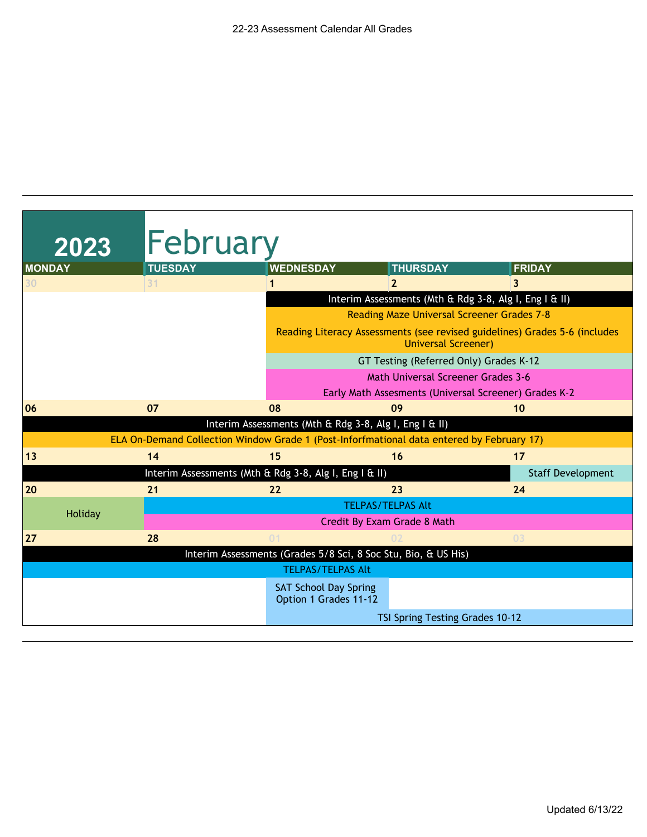| 2023                                              | February                                              |                                                                                           |                                                                            |                          |  |  |  |
|---------------------------------------------------|-------------------------------------------------------|-------------------------------------------------------------------------------------------|----------------------------------------------------------------------------|--------------------------|--|--|--|
| <b>MONDAY</b>                                     | <b>TUESDAY</b>                                        | <b>WEDNESDAY</b>                                                                          | <b>THURSDAY</b>                                                            | <b>FRIDAY</b>            |  |  |  |
| 30                                                | 31                                                    |                                                                                           | $\overline{2}$                                                             | 3                        |  |  |  |
|                                                   |                                                       |                                                                                           | Interim Assessments (Mth & Rdg 3-8, Alg I, Eng I & II)                     |                          |  |  |  |
| <b>Reading Maze Universal Screener Grades 7-8</b> |                                                       |                                                                                           |                                                                            |                          |  |  |  |
|                                                   |                                                       | <b>Universal Screener)</b>                                                                | Reading Literacy Assessments (see revised guidelines) Grades 5-6 (includes |                          |  |  |  |
| GT Testing (Referred Only) Grades K-12            |                                                       |                                                                                           |                                                                            |                          |  |  |  |
| <b>Math Universal Screener Grades 3-6</b>         |                                                       |                                                                                           |                                                                            |                          |  |  |  |
|                                                   | Early Math Assesments (Universal Screener) Grades K-2 |                                                                                           |                                                                            |                          |  |  |  |
| 06                                                | 07                                                    | 08                                                                                        | 09                                                                         | 10                       |  |  |  |
|                                                   |                                                       | Interim Assessments (Mth & Rdg 3-8, Alg I, Eng I & II)                                    |                                                                            |                          |  |  |  |
|                                                   |                                                       | ELA On-Demand Collection Window Grade 1 (Post-Inforfmational data entered by February 17) |                                                                            |                          |  |  |  |
| 13                                                | 14                                                    | 15                                                                                        | 16                                                                         | 17                       |  |  |  |
|                                                   |                                                       | Interim Assessments (Mth & Rdg 3-8, Alg I, Eng I & II)                                    |                                                                            | <b>Staff Development</b> |  |  |  |
| 20                                                | 21                                                    | 22                                                                                        | 23                                                                         | 24                       |  |  |  |
|                                                   |                                                       |                                                                                           | <b>TELPAS/TELPAS Alt</b>                                                   |                          |  |  |  |
| Holiday                                           |                                                       |                                                                                           | Credit By Exam Grade 8 Math                                                |                          |  |  |  |
| 27                                                | 28                                                    | 01                                                                                        |                                                                            | 03                       |  |  |  |
|                                                   |                                                       | Interim Assessments (Grades 5/8 Sci, 8 Soc Stu, Bio, & US His)                            |                                                                            |                          |  |  |  |
|                                                   |                                                       | <b>TELPAS/TELPAS Alt</b>                                                                  |                                                                            |                          |  |  |  |
|                                                   |                                                       | <b>SAT School Day Spring</b><br>Option 1 Grades 11-12                                     |                                                                            |                          |  |  |  |
|                                                   |                                                       |                                                                                           | TSI Spring Testing Grades 10-12                                            |                          |  |  |  |
|                                                   |                                                       |                                                                                           |                                                                            |                          |  |  |  |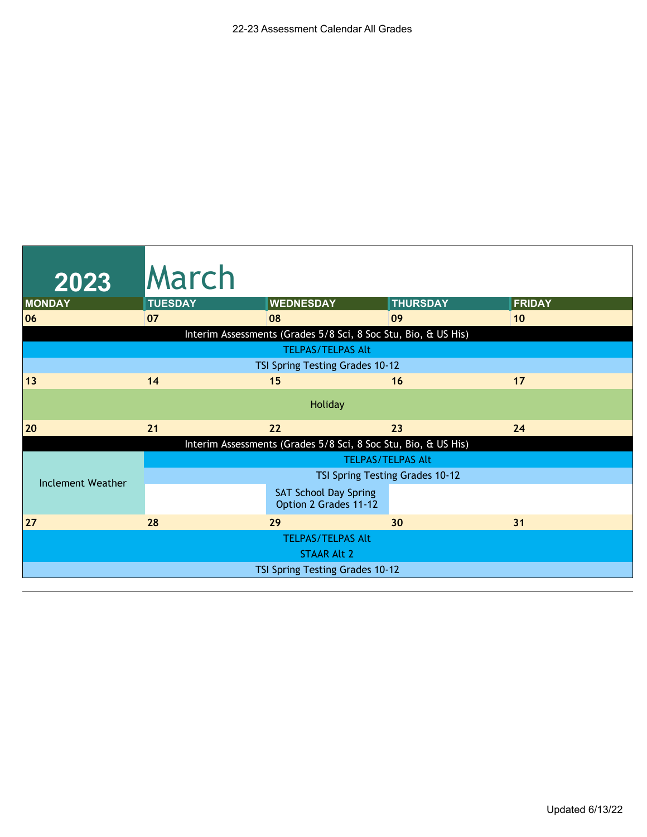| <b>March</b>                                                   |                                                       |                 |                                                                                                                                                                         |  |  |  |
|----------------------------------------------------------------|-------------------------------------------------------|-----------------|-------------------------------------------------------------------------------------------------------------------------------------------------------------------------|--|--|--|
| <b>TUESDAY</b>                                                 | <b>WEDNESDAY</b>                                      | <b>THURSDAY</b> | <b>FRIDAY</b>                                                                                                                                                           |  |  |  |
| 07                                                             | 08                                                    | 09              | 10                                                                                                                                                                      |  |  |  |
|                                                                |                                                       |                 |                                                                                                                                                                         |  |  |  |
|                                                                | <b>TELPAS/TELPAS Alt</b>                              |                 |                                                                                                                                                                         |  |  |  |
|                                                                |                                                       |                 |                                                                                                                                                                         |  |  |  |
| 14                                                             | 15                                                    | 16              | 17                                                                                                                                                                      |  |  |  |
|                                                                | Holiday                                               |                 |                                                                                                                                                                         |  |  |  |
| 21                                                             | 22                                                    | 23              | 24                                                                                                                                                                      |  |  |  |
| Interim Assessments (Grades 5/8 Sci, 8 Soc Stu, Bio, & US His) |                                                       |                 |                                                                                                                                                                         |  |  |  |
| <b>TELPAS/TELPAS Alt</b>                                       |                                                       |                 |                                                                                                                                                                         |  |  |  |
|                                                                |                                                       |                 |                                                                                                                                                                         |  |  |  |
|                                                                | <b>SAT School Day Spring</b><br>Option 2 Grades 11-12 |                 |                                                                                                                                                                         |  |  |  |
| 28                                                             | 29                                                    | 30              | 31                                                                                                                                                                      |  |  |  |
|                                                                | <b>TELPAS/TELPAS Alt</b>                              |                 |                                                                                                                                                                         |  |  |  |
|                                                                | <b>STAAR Alt 2</b>                                    |                 |                                                                                                                                                                         |  |  |  |
|                                                                |                                                       |                 |                                                                                                                                                                         |  |  |  |
|                                                                |                                                       |                 | Interim Assessments (Grades 5/8 Sci, 8 Soc Stu, Bio, & US His)<br>TSI Spring Testing Grades 10-12<br>TSI Spring Testing Grades 10-12<br>TSI Spring Testing Grades 10-12 |  |  |  |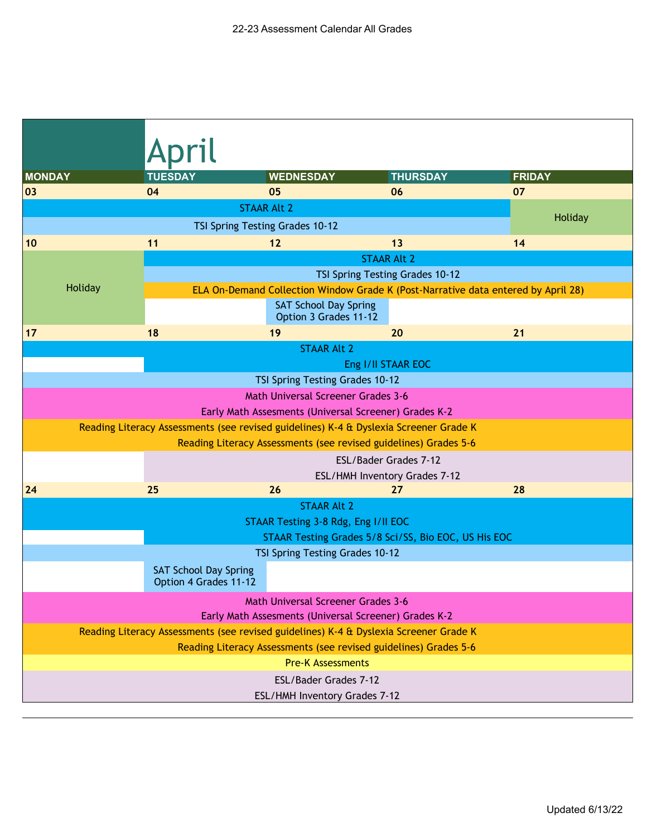|                                                                  | <b>TUESDAY</b>                                                                                     |                                                                  |                                                                                   |                     |  |  |  |
|------------------------------------------------------------------|----------------------------------------------------------------------------------------------------|------------------------------------------------------------------|-----------------------------------------------------------------------------------|---------------------|--|--|--|
| <b>MONDAY</b><br>03                                              | 04                                                                                                 | <b>WEDNESDAY</b><br>05                                           | <b>THURSDAY</b><br>06                                                             | <b>FRIDAY</b><br>07 |  |  |  |
|                                                                  |                                                                                                    | <b>STAAR Alt 2</b>                                               |                                                                                   |                     |  |  |  |
|                                                                  |                                                                                                    | TSI Spring Testing Grades 10-12                                  |                                                                                   | Holiday             |  |  |  |
| 10                                                               | 11                                                                                                 | 12                                                               | 13                                                                                | 14                  |  |  |  |
|                                                                  |                                                                                                    |                                                                  | <b>STAAR Alt 2</b>                                                                |                     |  |  |  |
|                                                                  |                                                                                                    |                                                                  | TSI Spring Testing Grades 10-12                                                   |                     |  |  |  |
| Holiday                                                          |                                                                                                    |                                                                  | ELA On-Demand Collection Window Grade K (Post-Narrative data entered by April 28) |                     |  |  |  |
|                                                                  |                                                                                                    | <b>SAT School Day Spring</b><br>Option 3 Grades 11-12            |                                                                                   |                     |  |  |  |
| 17                                                               | 18                                                                                                 | 19                                                               | 20                                                                                | 21                  |  |  |  |
|                                                                  |                                                                                                    | <b>STAAR Alt 2</b>                                               |                                                                                   |                     |  |  |  |
|                                                                  |                                                                                                    |                                                                  | Eng I/II STAAR EOC                                                                |                     |  |  |  |
|                                                                  |                                                                                                    | TSI Spring Testing Grades 10-12                                  |                                                                                   |                     |  |  |  |
|                                                                  |                                                                                                    | <b>Math Universal Screener Grades 3-6</b>                        |                                                                                   |                     |  |  |  |
|                                                                  |                                                                                                    | Early Math Assesments (Universal Screener) Grades K-2            |                                                                                   |                     |  |  |  |
|                                                                  | Reading Literacy Assessments (see revised guidelines) K-4 & Dyslexia Screener Grade K              |                                                                  |                                                                                   |                     |  |  |  |
| Reading Literacy Assessments (see revised guidelines) Grades 5-6 |                                                                                                    |                                                                  |                                                                                   |                     |  |  |  |
|                                                                  | ESL/Bader Grades 7-12                                                                              |                                                                  |                                                                                   |                     |  |  |  |
| 24                                                               | 25                                                                                                 | 26                                                               | ESL/HMH Inventory Grades 7-12<br>27                                               | 28                  |  |  |  |
|                                                                  |                                                                                                    | <b>STAAR Alt 2</b>                                               |                                                                                   |                     |  |  |  |
|                                                                  |                                                                                                    | STAAR Testing 3-8 Rdg, Eng I/II EOC                              |                                                                                   |                     |  |  |  |
|                                                                  |                                                                                                    |                                                                  | STAAR Testing Grades 5/8 Sci/SS, Bio EOC, US His EOC                              |                     |  |  |  |
|                                                                  |                                                                                                    | TSI Spring Testing Grades 10-12                                  |                                                                                   |                     |  |  |  |
|                                                                  | <b>SAT School Day Spring</b><br>Option 4 Grades 11-12                                              |                                                                  |                                                                                   |                     |  |  |  |
|                                                                  | <b>Math Universal Screener Grades 3-6</b><br>Early Math Assesments (Universal Screener) Grades K-2 |                                                                  |                                                                                   |                     |  |  |  |
|                                                                  | Reading Literacy Assessments (see revised guidelines) K-4 & Dyslexia Screener Grade K              |                                                                  |                                                                                   |                     |  |  |  |
|                                                                  |                                                                                                    | Reading Literacy Assessments (see revised guidelines) Grades 5-6 |                                                                                   |                     |  |  |  |
|                                                                  |                                                                                                    | <b>Pre-K Assessments</b>                                         |                                                                                   |                     |  |  |  |
|                                                                  |                                                                                                    | ESL/Bader Grades 7-12                                            |                                                                                   |                     |  |  |  |
|                                                                  |                                                                                                    | ESL/HMH Inventory Grades 7-12                                    |                                                                                   |                     |  |  |  |